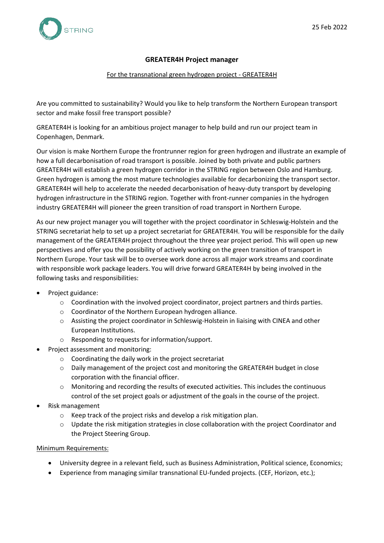

# **GREATER4H Project manager**

#### For the transnational green hydrogen project - GREATER4H

Are you committed to sustainability? Would you like to help transform the Northern European transport sector and make fossil free transport possible?

GREATER4H is looking for an ambitious project manager to help build and run our project team in Copenhagen, Denmark.

Our vision is make Northern Europe the frontrunner region for green hydrogen and illustrate an example of how a full decarbonisation of road transport is possible. Joined by both private and public partners GREATER4H will establish a green hydrogen corridor in the STRING region between Oslo and Hamburg. Green hydrogen is among the most mature technologies available for decarbonizing the transport sector. GREATER4H will help to accelerate the needed decarbonisation of heavy-duty transport by developing hydrogen infrastructure in the STRING region. Together with front-runner companies in the hydrogen industry GREATER4H will pioneer the green transition of road transport in Northern Europe.

As our new project manager you will together with the project coordinator in Schleswig-Holstein and the STRING secretariat help to set up a project secretariat for GREATER4H. You will be responsible for the daily management of the GREATER4H project throughout the three year project period. This will open up new perspectives and offer you the possibility of actively working on the green transition of transport in Northern Europe. Your task will be to oversee work done across all major work streams and coordinate with responsible work package leaders. You will drive forward GREATER4H by being involved in the following tasks and responsibilities:

- Project guidance:
	- $\circ$  Coordination with the involved project coordinator, project partners and thirds parties.
	- o Coordinator of the Northern European hydrogen alliance.
	- o Assisting the project coordinator in Schleswig-Holstein in liaising with CINEA and other European Institutions.
	- o Responding to requests for information/support.
- Project assessment and monitoring:
	- o Coordinating the daily work in the project secretariat
	- o Daily management of the project cost and monitoring the GREATER4H budget in close corporation with the financial officer.
	- $\circ$  Monitoring and recording the results of executed activities. This includes the continuous control of the set project goals or adjustment of the goals in the course of the project.
- Risk management
	- o Keep track of the project risks and develop a risk mitigation plan.
	- $\circ$  Update the risk mitigation strategies in close collaboration with the project Coordinator and the Project Steering Group.

#### Minimum Requirements:

- University degree in a relevant field, such as Business Administration, Political science, Economics;
- Experience from managing similar transnational EU-funded projects. (CEF, Horizon, etc.);